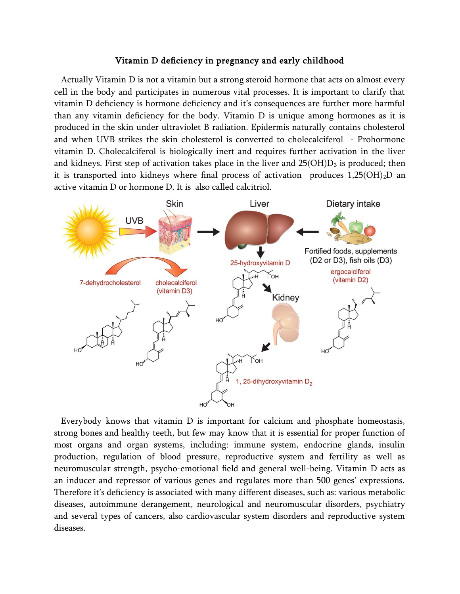## Vitamin D deficiency in pregnancy and early childhood

Actually Vitamin D is not a vitamin but a strong steroid hormone that acts on almost every cell in the body and participates in numerous vital processes. It is important to clarify that vitamin D deficiency is hormone deficiency and it's consequences are further more harmful than any vitamin deficiency for the body. Vitamin D is unique among hormones as it is produced in the skin under ultraviolet B radiation. Epidermis naturally contains cholesterol and when UVB strikes the skin cholesterol is converted to cholecalciferol - Prohormone vitamin D. Cholecalciferol is biologically inert and requires further activation in the liver and kidneys. First step of activation takes place in the liver and  $25(OH)D<sub>3</sub>$  is produced; then it is transported into kidneys where final process of activation produces  $1,25(OH)<sub>2</sub>D$  an active vitamin D or hormone D. It is also called calcitriol.



Everybody knows that vitamin D is important for calcium and phosphate homeostasis, strong bones and healthy teeth, but few may know that it is essential for proper function of most organs and organ systems, including: immune system, endocrine glands, insulin production, regulation of blood pressure, reproductive system and fertility as well as neuromuscular strength, psycho-emotional field and general well-being. Vitamin D acts as an inducer and repressor of various genes and regulates more than 500 genes' expressions. Therefore it's deficiency is associated with many different diseases, such as: various metabolic diseases, autoimmune derangement, neurological and neuromuscular disorders, psychiatry and several types of cancers, also cardiovascular system disorders and reproductive system diseases.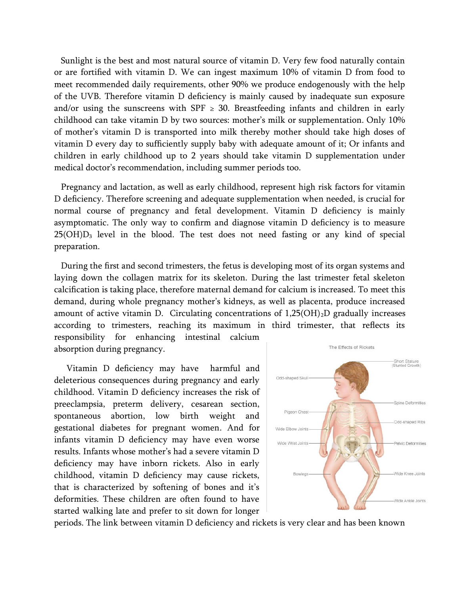Sunlight is the best and most natural source of vitamin D. Very few food naturally contain or are fortified with vitamin D. We can ingest maximum 10% of vitamin D from food to meet recommended daily requirements, other 90% we produce endogenously with the help of the UVB. Therefore vitamin D deficiency is mainly caused by inadequate sun exposure and/or using the sunscreens with SPF  $\geq$  30. Breastfeeding infants and children in early childhood can take vitamin D by two sources: mother's milk or supplementation. Only 10% of mother's vitamin D is transported into milk thereby mother should take high doses of vitamin D every day to sufficiently supply baby with adequate amount of it; Or infants and children in early childhood up to 2 years should take vitamin D supplementation under medical doctor's recommendation, including summer periods too.

Pregnancy and lactation, as well as early childhood, represent high risk factors for vitamin D deficiency. Therefore screening and adequate supplementation when needed, is crucial for normal course of pregnancy and fetal development. Vitamin D deficiency is mainly asymptomatic. The only way to confirm and diagnose vitamin D deficiency is to measure  $25(OH)D<sub>3</sub>$  level in the blood. The test does not need fasting or any kind of special preparation.

During the first and second trimesters, the fetus is developing most of its organ systems and laying down the collagen matrix for its skeleton. During the last trimester fetal skeleton calcification is taking place, therefore maternal demand for calcium is increased. To meet this demand, during whole pregnancy mother's kidneys, as well as placenta, produce increased amount of active vitamin D. Circulating concentrations of  $1,25(OH)_{2}D$  gradually increases according to trimesters, reaching its maximum in third trimester, that reflects its

responsibility for enhancing intestinal calcium absorption during pregnancy.

 Vitamin D deficiency may have harmful and deleterious consequences during pregnancy and early childhood. Vitamin D deficiency increases the risk of preeclampsia, preterm delivery, cesarean section, spontaneous abortion, low birth weight and gestational diabetes for pregnant women. And for infants vitamin D deficiency may have even worse results. Infants whose mother's had a severe vitamin D deficiency may have inborn rickets. Also in early childhood, vitamin D deficiency may cause rickets, that is characterized by softening of bones and it's deformities. These children are often found to have started walking late and prefer to sit down for longer



periods. The link between vitamin D deficiency and rickets is very clear and has been known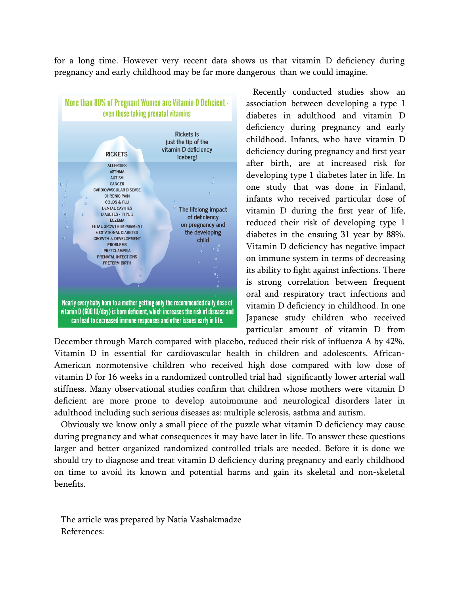for a long time. However very recent data shows us that vitamin D deficiency during pregnancy and early childhood may be far more dangerous than we could imagine.



Recently conducted studies show an association between developing a type 1 diabetes in adulthood and vitamin D deficiency during pregnancy and early childhood. Infants, who have vitamin D deficiency during pregnancy and first year after birth, are at increased risk for developing type 1 diabetes later in life. In one study that was done in Finland, infants who received particular dose of vitamin D during the first year of life, reduced their risk of developing type 1 diabetes in the ensuing 31 year by 88%. Vitamin D deficiency has negative impact on immune system in terms of decreasing its ability to fight against infections. There is strong correlation between frequent oral and respiratory tract infections and vitamin D deficiency in childhood. In one Japanese study children who received particular amount of vitamin D from

December through March compared with placebo, reduced their risk of influenza A by 42%. Vitamin D in essential for cardiovascular health in children and adolescents. African-American normotensive children who received high dose compared with low dose of vitamin D for 16 weeks in a randomized controlled trial had significantly lower arterial wall stiffness. Many observational studies confirm that children whose mothers were vitamin D deficient are more prone to develop autoimmune and neurological disorders later in adulthood including such serious diseases as: multiple sclerosis, asthma and autism.

Obviously we know only a small piece of the puzzle what vitamin D deficiency may cause during pregnancy and what consequences it may have later in life. To answer these questions larger and better organized randomized controlled trials are needed. Before it is done we should try to diagnose and treat vitamin D deficiency during pregnancy and early childhood on time to avoid its known and potential harms and gain its skeletal and non-skeletal benefits.

The article was prepared by Natia Vashakmadze References: